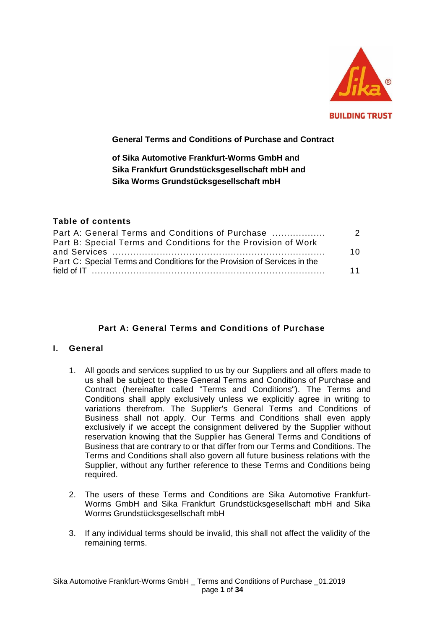

# **General Terms and Conditions of Purchase and Contract**

**of Sika Automotive Frankfurt-Worms GmbH and Sika Frankfurt Grundstücksgesellschaft mbH and Sika Worms Grundstücksgesellschaft mbH** 

## **Table of contents**

| Part A: General Terms and Conditions of Purchase                          | 2   |
|---------------------------------------------------------------------------|-----|
| Part B: Special Terms and Conditions for the Provision of Work            |     |
|                                                                           | 1 O |
| Part C: Special Terms and Conditions for the Provision of Services in the |     |
|                                                                           | 11  |

# **Part A: General Terms and Conditions of Purchase**

### **I. General**

- 1. All goods and services supplied to us by our Suppliers and all offers made to us shall be subject to these General Terms and Conditions of Purchase and Contract (hereinafter called "Terms and Conditions"). The Terms and Conditions shall apply exclusively unless we explicitly agree in writing to variations therefrom. The Supplier's General Terms and Conditions of Business shall not apply. Our Terms and Conditions shall even apply exclusively if we accept the consignment delivered by the Supplier without reservation knowing that the Supplier has General Terms and Conditions of Business that are contrary to or that differ from our Terms and Conditions. The Terms and Conditions shall also govern all future business relations with the Supplier, without any further reference to these Terms and Conditions being required.
- 2. The users of these Terms and Conditions are Sika Automotive Frankfurt-Worms GmbH and Sika Frankfurt Grundstücksgesellschaft mbH and Sika Worms Grundstücksgesellschaft mbH
- 3. If any individual terms should be invalid, this shall not affect the validity of the remaining terms.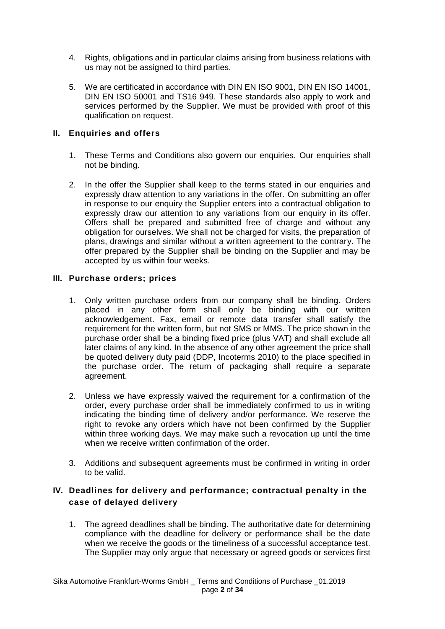- 4. Rights, obligations and in particular claims arising from business relations with us may not be assigned to third parties.
- 5. We are certificated in accordance with DIN EN ISO 9001, DIN EN ISO 14001, DIN EN ISO 50001 and TS16 949. These standards also apply to work and services performed by the Supplier. We must be provided with proof of this qualification on request.

## **II. Enquiries and offers**

- 1. These Terms and Conditions also govern our enquiries. Our enquiries shall not be binding.
- 2. In the offer the Supplier shall keep to the terms stated in our enquiries and expressly draw attention to any variations in the offer. On submitting an offer in response to our enquiry the Supplier enters into a contractual obligation to expressly draw our attention to any variations from our enquiry in its offer. Offers shall be prepared and submitted free of charge and without any obligation for ourselves. We shall not be charged for visits, the preparation of plans, drawings and similar without a written agreement to the contrary. The offer prepared by the Supplier shall be binding on the Supplier and may be accepted by us within four weeks.

### **III. Purchase orders; prices**

- 1. Only written purchase orders from our company shall be binding. Orders placed in any other form shall only be binding with our written acknowledgement. Fax, email or remote data transfer shall satisfy the requirement for the written form, but not SMS or MMS. The price shown in the purchase order shall be a binding fixed price (plus VAT) and shall exclude all later claims of any kind. In the absence of any other agreement the price shall be quoted delivery duty paid (DDP, Incoterms 2010) to the place specified in the purchase order. The return of packaging shall require a separate agreement.
- 2. Unless we have expressly waived the requirement for a confirmation of the order, every purchase order shall be immediately confirmed to us in writing indicating the binding time of delivery and/or performance. We reserve the right to revoke any orders which have not been confirmed by the Supplier within three working days. We may make such a revocation up until the time when we receive written confirmation of the order.
- 3. Additions and subsequent agreements must be confirmed in writing in order to be valid.

# **IV. Deadlines for delivery and performance; contractual penalty in the case of delayed delivery**

1. The agreed deadlines shall be binding. The authoritative date for determining compliance with the deadline for delivery or performance shall be the date when we receive the goods or the timeliness of a successful acceptance test. The Supplier may only argue that necessary or agreed goods or services first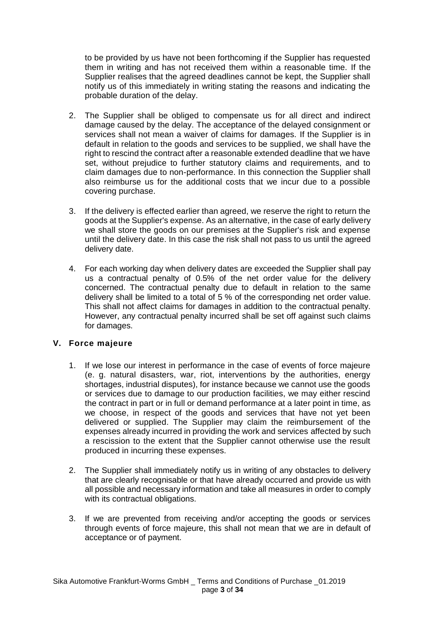to be provided by us have not been forthcoming if the Supplier has requested them in writing and has not received them within a reasonable time. If the Supplier realises that the agreed deadlines cannot be kept, the Supplier shall notify us of this immediately in writing stating the reasons and indicating the probable duration of the delay.

- 2. The Supplier shall be obliged to compensate us for all direct and indirect damage caused by the delay. The acceptance of the delayed consignment or services shall not mean a waiver of claims for damages. If the Supplier is in default in relation to the goods and services to be supplied, we shall have the right to rescind the contract after a reasonable extended deadline that we have set, without prejudice to further statutory claims and requirements, and to claim damages due to non-performance. In this connection the Supplier shall also reimburse us for the additional costs that we incur due to a possible covering purchase.
- 3. If the delivery is effected earlier than agreed, we reserve the right to return the goods at the Supplier's expense. As an alternative, in the case of early delivery we shall store the goods on our premises at the Supplier's risk and expense until the delivery date. In this case the risk shall not pass to us until the agreed delivery date.
- 4. For each working day when delivery dates are exceeded the Supplier shall pay us a contractual penalty of 0.5% of the net order value for the delivery concerned. The contractual penalty due to default in relation to the same delivery shall be limited to a total of 5 % of the corresponding net order value. This shall not affect claims for damages in addition to the contractual penalty. However, any contractual penalty incurred shall be set off against such claims for damages.

### **V. Force majeure**

- 1. If we lose our interest in performance in the case of events of force majeure (e. g. natural disasters, war, riot, interventions by the authorities, energy shortages, industrial disputes), for instance because we cannot use the goods or services due to damage to our production facilities, we may either rescind the contract in part or in full or demand performance at a later point in time, as we choose, in respect of the goods and services that have not yet been delivered or supplied. The Supplier may claim the reimbursement of the expenses already incurred in providing the work and services affected by such a rescission to the extent that the Supplier cannot otherwise use the result produced in incurring these expenses.
- 2. The Supplier shall immediately notify us in writing of any obstacles to delivery that are clearly recognisable or that have already occurred and provide us with all possible and necessary information and take all measures in order to comply with its contractual obligations.
- 3. If we are prevented from receiving and/or accepting the goods or services through events of force majeure, this shall not mean that we are in default of acceptance or of payment.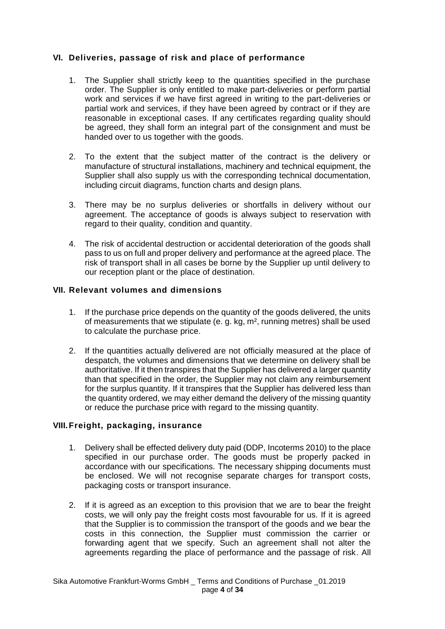# **VI. Deliveries, passage of risk and place of performance**

- 1. The Supplier shall strictly keep to the quantities specified in the purchase order. The Supplier is only entitled to make part-deliveries or perform partial work and services if we have first agreed in writing to the part-deliveries or partial work and services, if they have been agreed by contract or if they are reasonable in exceptional cases. If any certificates regarding quality should be agreed, they shall form an integral part of the consignment and must be handed over to us together with the goods.
- 2. To the extent that the subject matter of the contract is the delivery or manufacture of structural installations, machinery and technical equipment, the Supplier shall also supply us with the corresponding technical documentation, including circuit diagrams, function charts and design plans.
- 3. There may be no surplus deliveries or shortfalls in delivery without our agreement. The acceptance of goods is always subject to reservation with regard to their quality, condition and quantity.
- 4. The risk of accidental destruction or accidental deterioration of the goods shall pass to us on full and proper delivery and performance at the agreed place. The risk of transport shall in all cases be borne by the Supplier up until delivery to our reception plant or the place of destination.

## **VII. Relevant volumes and dimensions**

- 1. If the purchase price depends on the quantity of the goods delivered, the units of measurements that we stipulate (e. g. kg, m², running metres) shall be used to calculate the purchase price.
- 2. If the quantities actually delivered are not officially measured at the place of despatch, the volumes and dimensions that we determine on delivery shall be authoritative. If it then transpires that the Supplier has delivered a larger quantity than that specified in the order, the Supplier may not claim any reimbursement for the surplus quantity. If it transpires that the Supplier has delivered less than the quantity ordered, we may either demand the delivery of the missing quantity or reduce the purchase price with regard to the missing quantity.

### **VIII.Freight, packaging, insurance**

- 1. Delivery shall be effected delivery duty paid (DDP, Incoterms 2010) to the place specified in our purchase order. The goods must be properly packed in accordance with our specifications. The necessary shipping documents must be enclosed. We will not recognise separate charges for transport costs, packaging costs or transport insurance.
- 2. If it is agreed as an exception to this provision that we are to bear the freight costs, we will only pay the freight costs most favourable for us. If it is agreed that the Supplier is to commission the transport of the goods and we bear the costs in this connection, the Supplier must commission the carrier or forwarding agent that we specify. Such an agreement shall not alter the agreements regarding the place of performance and the passage of risk. All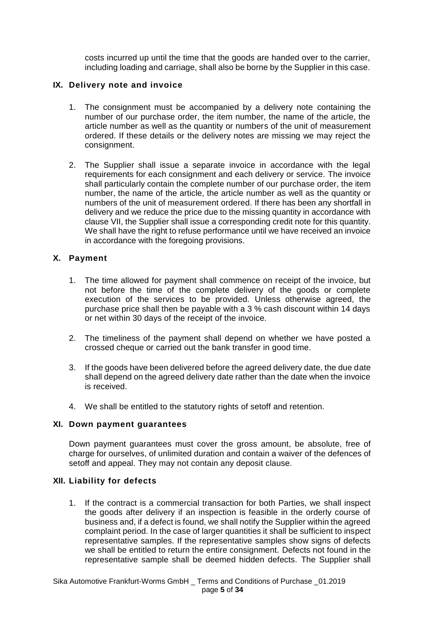costs incurred up until the time that the goods are handed over to the carrier, including loading and carriage, shall also be borne by the Supplier in this case.

### **IX. Delivery note and invoice**

- 1. The consignment must be accompanied by a delivery note containing the number of our purchase order, the item number, the name of the article, the article number as well as the quantity or numbers of the unit of measurement ordered. If these details or the delivery notes are missing we may reject the consignment.
- 2. The Supplier shall issue a separate invoice in accordance with the legal requirements for each consignment and each delivery or service. The invoice shall particularly contain the complete number of our purchase order, the item number, the name of the article, the article number as well as the quantity or numbers of the unit of measurement ordered. If there has been any shortfall in delivery and we reduce the price due to the missing quantity in accordance with clause VII, the Supplier shall issue a corresponding credit note for this quantity. We shall have the right to refuse performance until we have received an invoice in accordance with the foregoing provisions.

## **X. Payment**

- 1. The time allowed for payment shall commence on receipt of the invoice, but not before the time of the complete delivery of the goods or complete execution of the services to be provided. Unless otherwise agreed, the purchase price shall then be payable with a 3 % cash discount within 14 days or net within 30 days of the receipt of the invoice.
- 2. The timeliness of the payment shall depend on whether we have posted a crossed cheque or carried out the bank transfer in good time.
- 3. If the goods have been delivered before the agreed delivery date, the due date shall depend on the agreed delivery date rather than the date when the invoice is received.
- 4. We shall be entitled to the statutory rights of setoff and retention.

### **XI. Down payment guarantees**

Down payment guarantees must cover the gross amount, be absolute, free of charge for ourselves, of unlimited duration and contain a waiver of the defences of setoff and appeal. They may not contain any deposit clause.

### **XII. Liability for defects**

1. If the contract is a commercial transaction for both Parties, we shall inspect the goods after delivery if an inspection is feasible in the orderly course of business and, if a defect is found, we shall notify the Supplier within the agreed complaint period. In the case of larger quantities it shall be sufficient to inspect representative samples. If the representative samples show signs of defects we shall be entitled to return the entire consignment. Defects not found in the representative sample shall be deemed hidden defects. The Supplier shall

Sika Automotive Frankfurt-Worms GmbH \_ Terms and Conditions of Purchase \_01.2019 page **5** of **34**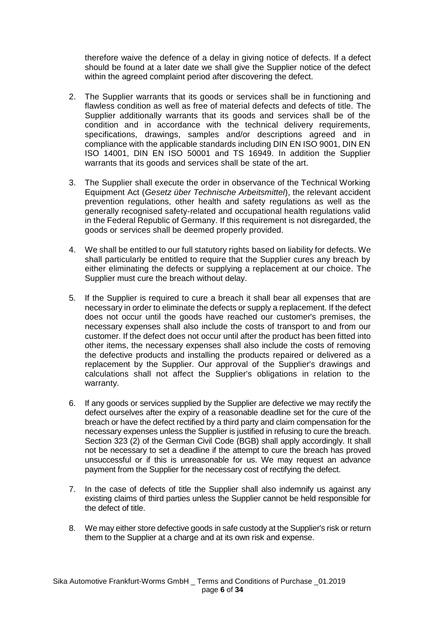therefore waive the defence of a delay in giving notice of defects. If a defect should be found at a later date we shall give the Supplier notice of the defect within the agreed complaint period after discovering the defect.

- 2. The Supplier warrants that its goods or services shall be in functioning and flawless condition as well as free of material defects and defects of title. The Supplier additionally warrants that its goods and services shall be of the condition and in accordance with the technical delivery requirements, specifications, drawings, samples and/or descriptions agreed and in compliance with the applicable standards including DIN EN ISO 9001, DIN EN ISO 14001, DIN EN ISO 50001 and TS 16949. In addition the Supplier warrants that its goods and services shall be state of the art.
- 3. The Supplier shall execute the order in observance of the Technical Working Equipment Act (*Gesetz über Technische Arbeitsmittel*), the relevant accident prevention regulations, other health and safety regulations as well as the generally recognised safety-related and occupational health regulations valid in the Federal Republic of Germany. If this requirement is not disregarded, the goods or services shall be deemed properly provided.
- 4. We shall be entitled to our full statutory rights based on liability for defects. We shall particularly be entitled to require that the Supplier cures any breach by either eliminating the defects or supplying a replacement at our choice. The Supplier must cure the breach without delay.
- 5. If the Supplier is required to cure a breach it shall bear all expenses that are necessary in order to eliminate the defects or supply a replacement. If the defect does not occur until the goods have reached our customer's premises, the necessary expenses shall also include the costs of transport to and from our customer. If the defect does not occur until after the product has been fitted into other items, the necessary expenses shall also include the costs of removing the defective products and installing the products repaired or delivered as a replacement by the Supplier. Our approval of the Supplier's drawings and calculations shall not affect the Supplier's obligations in relation to the warranty.
- 6. If any goods or services supplied by the Supplier are defective we may rectify the defect ourselves after the expiry of a reasonable deadline set for the cure of the breach or have the defect rectified by a third party and claim compensation for the necessary expenses unless the Supplier is justified in refusing to cure the breach. Section 323 (2) of the German Civil Code (BGB) shall apply accordingly. It shall not be necessary to set a deadline if the attempt to cure the breach has proved unsuccessful or if this is unreasonable for us. We may request an advance payment from the Supplier for the necessary cost of rectifying the defect.
- 7. In the case of defects of title the Supplier shall also indemnify us against any existing claims of third parties unless the Supplier cannot be held responsible for the defect of title.
- 8. We may either store defective goods in safe custody at the Supplier's risk or return them to the Supplier at a charge and at its own risk and expense.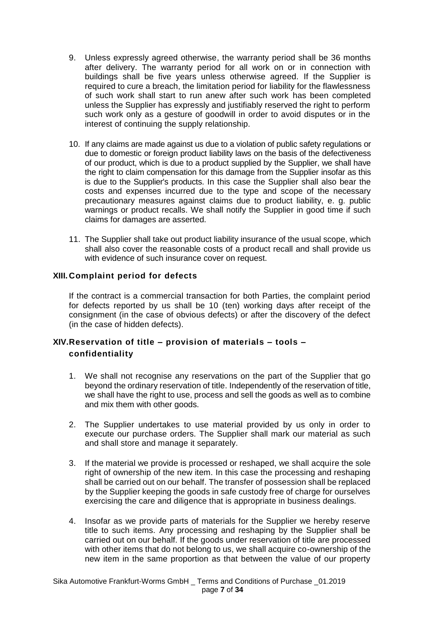- 9. Unless expressly agreed otherwise, the warranty period shall be 36 months after delivery. The warranty period for all work on or in connection with buildings shall be five years unless otherwise agreed. If the Supplier is required to cure a breach, the limitation period for liability for the flawlessness of such work shall start to run anew after such work has been completed unless the Supplier has expressly and justifiably reserved the right to perform such work only as a gesture of goodwill in order to avoid disputes or in the interest of continuing the supply relationship.
- 10. If any claims are made against us due to a violation of public safety regulations or due to domestic or foreign product liability laws on the basis of the defectiveness of our product, which is due to a product supplied by the Supplier, we shall have the right to claim compensation for this damage from the Supplier insofar as this is due to the Supplier's products. In this case the Supplier shall also bear the costs and expenses incurred due to the type and scope of the necessary precautionary measures against claims due to product liability, e. g. public warnings or product recalls. We shall notify the Supplier in good time if such claims for damages are asserted.
- 11. The Supplier shall take out product liability insurance of the usual scope, which shall also cover the reasonable costs of a product recall and shall provide us with evidence of such insurance cover on request.

## **XIII. Complaint period for defects**

If the contract is a commercial transaction for both Parties, the complaint period for defects reported by us shall be 10 (ten) working days after receipt of the consignment (in the case of obvious defects) or after the discovery of the defect (in the case of hidden defects).

# **XIV.Reservation of title – provision of materials – tools – confidentiality**

- 1. We shall not recognise any reservations on the part of the Supplier that go beyond the ordinary reservation of title. Independently of the reservation of title, we shall have the right to use, process and sell the goods as well as to combine and mix them with other goods.
- 2. The Supplier undertakes to use material provided by us only in order to execute our purchase orders. The Supplier shall mark our material as such and shall store and manage it separately.
- 3. If the material we provide is processed or reshaped, we shall acquire the sole right of ownership of the new item. In this case the processing and reshaping shall be carried out on our behalf. The transfer of possession shall be replaced by the Supplier keeping the goods in safe custody free of charge for ourselves exercising the care and diligence that is appropriate in business dealings.
- 4. Insofar as we provide parts of materials for the Supplier we hereby reserve title to such items. Any processing and reshaping by the Supplier shall be carried out on our behalf. If the goods under reservation of title are processed with other items that do not belong to us, we shall acquire co-ownership of the new item in the same proportion as that between the value of our property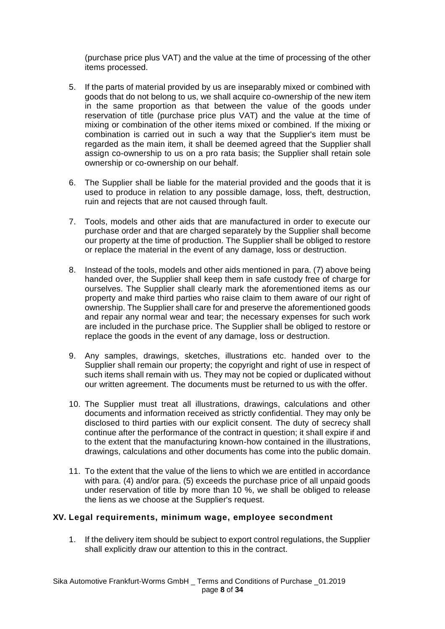(purchase price plus VAT) and the value at the time of processing of the other items processed.

- 5. If the parts of material provided by us are inseparably mixed or combined with goods that do not belong to us, we shall acquire co-ownership of the new item in the same proportion as that between the value of the goods under reservation of title (purchase price plus VAT) and the value at the time of mixing or combination of the other items mixed or combined. If the mixing or combination is carried out in such a way that the Supplier's item must be regarded as the main item, it shall be deemed agreed that the Supplier shall assign co-ownership to us on a pro rata basis; the Supplier shall retain sole ownership or co-ownership on our behalf.
- 6. The Supplier shall be liable for the material provided and the goods that it is used to produce in relation to any possible damage, loss, theft, destruction, ruin and rejects that are not caused through fault.
- 7. Tools, models and other aids that are manufactured in order to execute our purchase order and that are charged separately by the Supplier shall become our property at the time of production. The Supplier shall be obliged to restore or replace the material in the event of any damage, loss or destruction.
- 8. Instead of the tools, models and other aids mentioned in para. (7) above being handed over, the Supplier shall keep them in safe custody free of charge for ourselves. The Supplier shall clearly mark the aforementioned items as our property and make third parties who raise claim to them aware of our right of ownership. The Supplier shall care for and preserve the aforementioned goods and repair any normal wear and tear; the necessary expenses for such work are included in the purchase price. The Supplier shall be obliged to restore or replace the goods in the event of any damage, loss or destruction.
- 9. Any samples, drawings, sketches, illustrations etc. handed over to the Supplier shall remain our property; the copyright and right of use in respect of such items shall remain with us. They may not be copied or duplicated without our written agreement. The documents must be returned to us with the offer.
- 10. The Supplier must treat all illustrations, drawings, calculations and other documents and information received as strictly confidential. They may only be disclosed to third parties with our explicit consent. The duty of secrecy shall continue after the performance of the contract in question; it shall expire if and to the extent that the manufacturing known-how contained in the illustrations, drawings, calculations and other documents has come into the public domain.
- 11. To the extent that the value of the liens to which we are entitled in accordance with para. (4) and/or para. (5) exceeds the purchase price of all unpaid goods under reservation of title by more than 10 %, we shall be obliged to release the liens as we choose at the Supplier's request.

### **XV. Legal requirements, minimum wage, employee secondment**

1. If the delivery item should be subject to export control regulations, the Supplier shall explicitly draw our attention to this in the contract.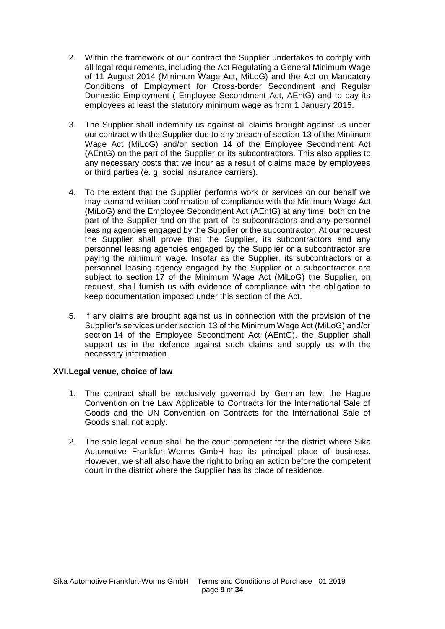- 2. Within the framework of our contract the Supplier undertakes to comply with all legal requirements, including the Act Regulating a General Minimum Wage of 11 August 2014 (Minimum Wage Act, MiLoG) and the Act on Mandatory Conditions of Employment for Cross-border Secondment and Regular Domestic Employment ( Employee Secondment Act, AEntG) and to pay its employees at least the statutory minimum wage as from 1 January 2015.
- 3. The Supplier shall indemnify us against all claims brought against us under our contract with the Supplier due to any breach of section 13 of the Minimum Wage Act (MiLoG) and/or section 14 of the Employee Secondment Act (AEntG) on the part of the Supplier or its subcontractors. This also applies to any necessary costs that we incur as a result of claims made by employees or third parties (e. g. social insurance carriers).
- 4. To the extent that the Supplier performs work or services on our behalf we may demand written confirmation of compliance with the Minimum Wage Act (MiLoG) and the Employee Secondment Act (AEntG) at any time, both on the part of the Supplier and on the part of its subcontractors and any personnel leasing agencies engaged by the Supplier or the subcontractor. At our request the Supplier shall prove that the Supplier, its subcontractors and any personnel leasing agencies engaged by the Supplier or a subcontractor are paying the minimum wage. Insofar as the Supplier, its subcontractors or a personnel leasing agency engaged by the Supplier or a subcontractor are subject to section 17 of the Minimum Wage Act (MiLoG) the Supplier, on request, shall furnish us with evidence of compliance with the obligation to keep documentation imposed under this section of the Act.
- 5. If any claims are brought against us in connection with the provision of the Supplier's services under section 13 of the Minimum Wage Act (MiLoG) and/or section 14 of the Employee Secondment Act (AEntG), the Supplier shall support us in the defence against such claims and supply us with the necessary information.

# **XVI.Legal venue, choice of law**

- 1. The contract shall be exclusively governed by German law; the Hague Convention on the Law Applicable to Contracts for the International Sale of Goods and the UN Convention on Contracts for the International Sale of Goods shall not apply.
- 2. The sole legal venue shall be the court competent for the district where Sika Automotive Frankfurt-Worms GmbH has its principal place of business. However, we shall also have the right to bring an action before the competent court in the district where the Supplier has its place of residence.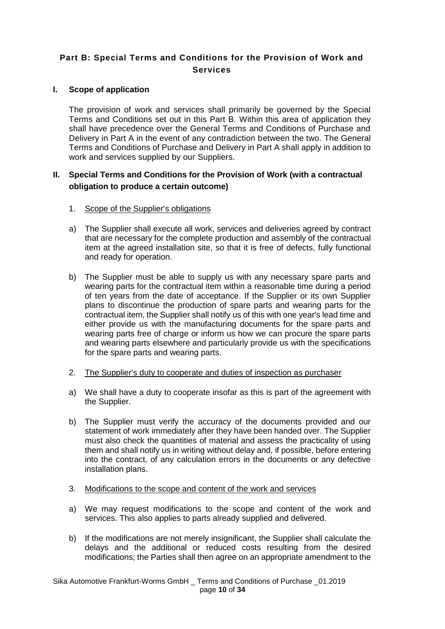# **Part B: Special Terms and Conditions for the Provision of Work and Services**

## **I. Scope of application**

The provision of work and services shall primarily be governed by the Special Terms and Conditions set out in this Part B. Within this area of application they shall have precedence over the General Terms and Conditions of Purchase and Delivery in Part A in the event of any contradiction between the two. The General Terms and Conditions of Purchase and Delivery in Part A shall apply in addition to work and services supplied by our Suppliers.

# **II. Special Terms and Conditions for the Provision of Work (with a contractual obligation to produce a certain outcome)**

- 1. Scope of the Supplier's obligations
- a) The Supplier shall execute all work, services and deliveries agreed by contract that are necessary for the complete production and assembly of the contractual item at the agreed installation site, so that it is free of defects, fully functional and ready for operation.
- b) The Supplier must be able to supply us with any necessary spare parts and wearing parts for the contractual item within a reasonable time during a period of ten years from the date of acceptance. If the Supplier or its own Supplier plans to discontinue the production of spare parts and wearing parts for the contractual item, the Supplier shall notify us of this with one year's lead time and either provide us with the manufacturing documents for the spare parts and wearing parts free of charge or inform us how we can procure the spare parts and wearing parts elsewhere and particularly provide us with the specifications for the spare parts and wearing parts.
- 2. The Supplier's duty to cooperate and duties of inspection as purchaser
- a) We shall have a duty to cooperate insofar as this is part of the agreement with the Supplier.
- b) The Supplier must verify the accuracy of the documents provided and our statement of work immediately after they have been handed over. The Supplier must also check the quantities of material and assess the practicality of using them and shall notify us in writing without delay and, if possible, before entering into the contract, of any calculation errors in the documents or any defective installation plans.
- 3. Modifications to the scope and content of the work and services
- a) We may request modifications to the scope and content of the work and services. This also applies to parts already supplied and delivered.
- b) If the modifications are not merely insignificant, the Supplier shall calculate the delays and the additional or reduced costs resulting from the desired modifications; the Parties shall then agree on an appropriate amendment to the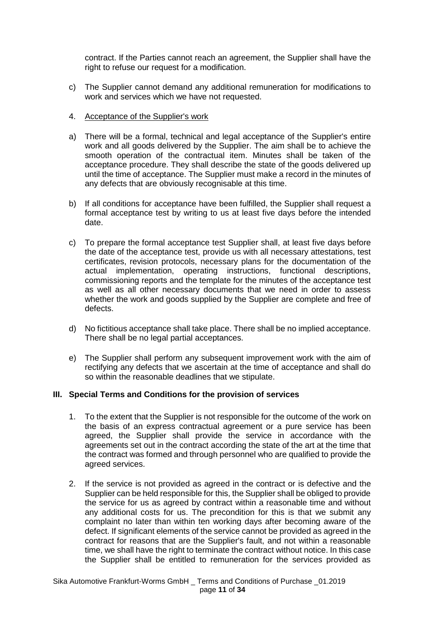contract. If the Parties cannot reach an agreement, the Supplier shall have the right to refuse our request for a modification.

- c) The Supplier cannot demand any additional remuneration for modifications to work and services which we have not requested.
- 4. Acceptance of the Supplier's work
- a) There will be a formal, technical and legal acceptance of the Supplier's entire work and all goods delivered by the Supplier. The aim shall be to achieve the smooth operation of the contractual item. Minutes shall be taken of the acceptance procedure. They shall describe the state of the goods delivered up until the time of acceptance. The Supplier must make a record in the minutes of any defects that are obviously recognisable at this time.
- b) If all conditions for acceptance have been fulfilled, the Supplier shall request a formal acceptance test by writing to us at least five days before the intended date.
- c) To prepare the formal acceptance test Supplier shall, at least five days before the date of the acceptance test, provide us with all necessary attestations, test certificates, revision protocols, necessary plans for the documentation of the actual implementation, operating instructions, functional descriptions, commissioning reports and the template for the minutes of the acceptance test as well as all other necessary documents that we need in order to assess whether the work and goods supplied by the Supplier are complete and free of defects.
- d) No fictitious acceptance shall take place. There shall be no implied acceptance. There shall be no legal partial acceptances.
- e) The Supplier shall perform any subsequent improvement work with the aim of rectifying any defects that we ascertain at the time of acceptance and shall do so within the reasonable deadlines that we stipulate.

### **III. Special Terms and Conditions for the provision of services**

- 1. To the extent that the Supplier is not responsible for the outcome of the work on the basis of an express contractual agreement or a pure service has been agreed, the Supplier shall provide the service in accordance with the agreements set out in the contract according the state of the art at the time that the contract was formed and through personnel who are qualified to provide the agreed services.
- 2. If the service is not provided as agreed in the contract or is defective and the Supplier can be held responsible for this, the Supplier shall be obliged to provide the service for us as agreed by contract within a reasonable time and without any additional costs for us. The precondition for this is that we submit any complaint no later than within ten working days after becoming aware of the defect. If significant elements of the service cannot be provided as agreed in the contract for reasons that are the Supplier's fault, and not within a reasonable time, we shall have the right to terminate the contract without notice. In this case the Supplier shall be entitled to remuneration for the services provided as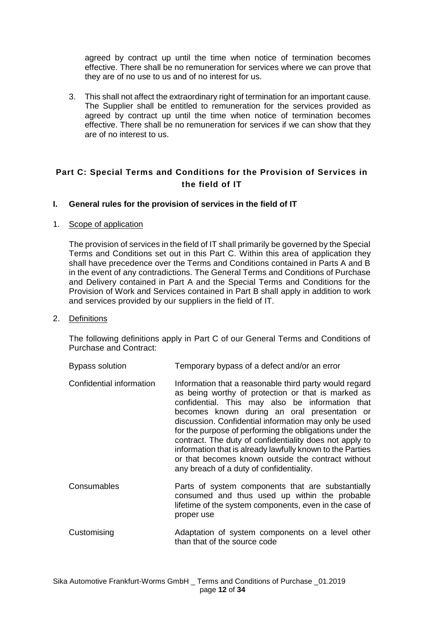agreed by contract up until the time when notice of termination becomes effective. There shall be no remuneration for services where we can prove that they are of no use to us and of no interest for us.

3. This shall not affect the extraordinary right of termination for an important cause. The Supplier shall be entitled to remuneration for the services provided as agreed by contract up until the time when notice of termination becomes effective. There shall be no remuneration for services if we can show that they are of no interest to us.

# **Part C: Special Terms and Conditions for the Provision of Services in the field of IT**

### **I. General rules for the provision of services in the field of IT**

### 1. Scope of application

The provision of services in the field of IT shall primarily be governed by the Special Terms and Conditions set out in this Part C. Within this area of application they shall have precedence over the Terms and Conditions contained in Parts A and B in the event of any contradictions. The General Terms and Conditions of Purchase and Delivery contained in Part A and the Special Terms and Conditions for the Provision of Work and Services contained in Part B shall apply in addition to work and services provided by our suppliers in the field of IT.

### 2. Definitions

The following definitions apply in Part C of our General Terms and Conditions of Purchase and Contract:

| Bypass solution | Temporary bypass of a defect and/or an error |
|-----------------|----------------------------------------------|
|                 |                                              |

- Confidential information Information that a reasonable third party would regard as being worthy of protection or that is marked as confidential. This may also be information that becomes known during an oral presentation or discussion. Confidential information may only be used for the purpose of performing the obligations under the contract. The duty of confidentiality does not apply to information that is already lawfully known to the Parties or that becomes known outside the contract without any breach of a duty of confidentiality.
- Consumables Parts of system components that are substantially consumed and thus used up within the probable lifetime of the system components, even in the case of proper use
- Customising Adaptation of system components on a level other than that of the source code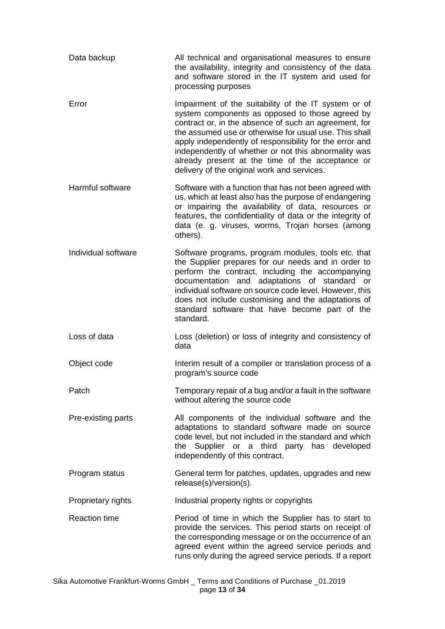| Data backup          | All technical and organisational measures to ensure<br>the availability, integrity and consistency of the data<br>and software stored in the IT system and used for<br>processing purposes                                                                                                                                                                                                                                                       |
|----------------------|--------------------------------------------------------------------------------------------------------------------------------------------------------------------------------------------------------------------------------------------------------------------------------------------------------------------------------------------------------------------------------------------------------------------------------------------------|
| Error                | Impairment of the suitability of the IT system or of<br>system components as opposed to those agreed by<br>contract or, in the absence of such an agreement, for<br>the assumed use or otherwise for usual use. This shall<br>apply independently of responsibility for the error and<br>independently of whether or not this abnormality was<br>already present at the time of the acceptance or<br>delivery of the original work and services. |
| Harmful software     | Software with a function that has not been agreed with<br>us, which at least also has the purpose of endangering<br>or impairing the availability of data, resources or<br>features, the confidentiality of data or the integrity of<br>data (e. g. viruses, worms, Trojan horses (among<br>others).                                                                                                                                             |
| Individual software  | Software programs, program modules, tools etc. that<br>the Supplier prepares for our needs and in order to<br>perform the contract, including the accompanying<br>documentation and adaptations of standard or<br>individual software on source code level. However, this<br>does not include customising and the adaptations of<br>standard software that have become part of the<br>standard.                                                  |
| Loss of data         | Loss (deletion) or loss of integrity and consistency of<br>data                                                                                                                                                                                                                                                                                                                                                                                  |
| Object code          | Interim result of a compiler or translation process of a<br>program's source code                                                                                                                                                                                                                                                                                                                                                                |
| Patch                | Temporary repair of a bug and/or a fault in the software<br>without altering the source code                                                                                                                                                                                                                                                                                                                                                     |
| Pre-existing parts   | All components of the individual software and the<br>adaptations to standard software made on source<br>code level, but not included in the standard and which<br>the Supplier or a third party has developed<br>independently of this contract.                                                                                                                                                                                                 |
| Program status       | General term for patches, updates, upgrades and new<br>release(s)/version(s).                                                                                                                                                                                                                                                                                                                                                                    |
| Proprietary rights   | Industrial property rights or copyrights                                                                                                                                                                                                                                                                                                                                                                                                         |
| <b>Reaction time</b> | Period of time in which the Supplier has to start to<br>provide the services. This period starts on receipt of<br>the corresponding message or on the occurrence of an<br>agreed event within the agreed service periods and<br>runs only during the agreed service periods. If a report                                                                                                                                                         |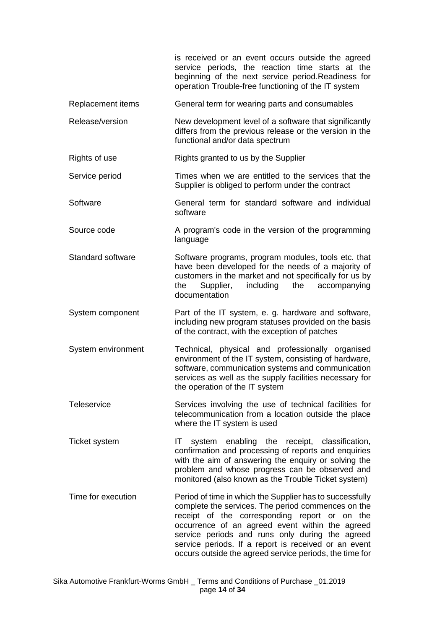|                          | is received or an event occurs outside the agreed<br>service periods, the reaction time starts at the<br>beginning of the next service period. Readiness for<br>operation Trouble-free functioning of the IT system                                                                                                                                                                      |
|--------------------------|------------------------------------------------------------------------------------------------------------------------------------------------------------------------------------------------------------------------------------------------------------------------------------------------------------------------------------------------------------------------------------------|
| Replacement items        | General term for wearing parts and consumables                                                                                                                                                                                                                                                                                                                                           |
| Release/version          | New development level of a software that significantly<br>differs from the previous release or the version in the<br>functional and/or data spectrum                                                                                                                                                                                                                                     |
| Rights of use            | Rights granted to us by the Supplier                                                                                                                                                                                                                                                                                                                                                     |
| Service period           | Times when we are entitled to the services that the<br>Supplier is obliged to perform under the contract                                                                                                                                                                                                                                                                                 |
| Software                 | General term for standard software and individual<br>software                                                                                                                                                                                                                                                                                                                            |
| Source code              | A program's code in the version of the programming<br>language                                                                                                                                                                                                                                                                                                                           |
| <b>Standard software</b> | Software programs, program modules, tools etc. that<br>have been developed for the needs of a majority of<br>customers in the market and not specifically for us by<br>including<br>Supplier,<br>the<br>accompanying<br>the<br>documentation                                                                                                                                             |
| System component         | Part of the IT system, e. g. hardware and software,<br>including new program statuses provided on the basis<br>of the contract, with the exception of patches                                                                                                                                                                                                                            |
| System environment       | Technical, physical and professionally organised<br>environment of the IT system, consisting of hardware,<br>software, communication systems and communication<br>services as well as the supply facilities necessary for<br>the operation of the IT system                                                                                                                              |
| Teleservice              | Services involving the use of technical facilities for<br>telecommunication from a location outside the place<br>where the IT system is used                                                                                                                                                                                                                                             |
| <b>Ticket system</b>     | enabling the receipt, classification,<br>system<br>IT.<br>confirmation and processing of reports and enquiries<br>with the aim of answering the enquiry or solving the<br>problem and whose progress can be observed and<br>monitored (also known as the Trouble Ticket system)                                                                                                          |
| Time for execution       | Period of time in which the Supplier has to successfully<br>complete the services. The period commences on the<br>receipt of the corresponding report or on the<br>occurrence of an agreed event within the agreed<br>service periods and runs only during the agreed<br>service periods. If a report is received or an event<br>occurs outside the agreed service periods, the time for |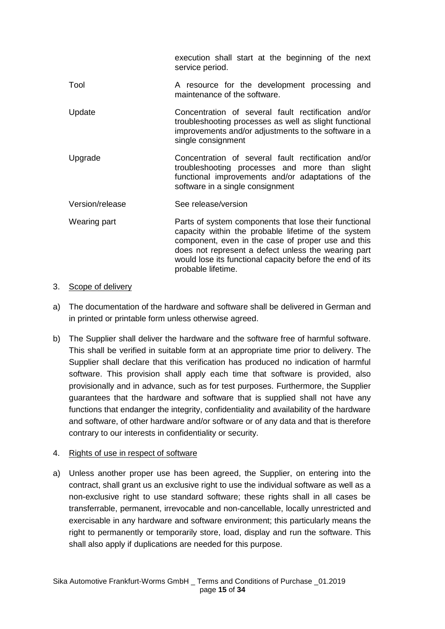|                 | execution shall start at the beginning of the next<br>service period.                                                                                                                                                                                                                                       |
|-----------------|-------------------------------------------------------------------------------------------------------------------------------------------------------------------------------------------------------------------------------------------------------------------------------------------------------------|
| Tool            | A resource for the development processing and<br>maintenance of the software.                                                                                                                                                                                                                               |
| Update          | Concentration of several fault rectification and/or<br>troubleshooting processes as well as slight functional<br>improvements and/or adjustments to the software in a<br>single consignment                                                                                                                 |
| Upgrade         | Concentration of several fault rectification and/or<br>troubleshooting processes and more than slight<br>functional improvements and/or adaptations of the<br>software in a single consignment                                                                                                              |
| Version/release | See release/version                                                                                                                                                                                                                                                                                         |
| Wearing part    | Parts of system components that lose their functional<br>capacity within the probable lifetime of the system<br>component, even in the case of proper use and this<br>does not represent a defect unless the wearing part<br>would lose its functional capacity before the end of its<br>probable lifetime. |

## 3. Scope of delivery

- a) The documentation of the hardware and software shall be delivered in German and in printed or printable form unless otherwise agreed.
- b) The Supplier shall deliver the hardware and the software free of harmful software. This shall be verified in suitable form at an appropriate time prior to delivery. The Supplier shall declare that this verification has produced no indication of harmful software. This provision shall apply each time that software is provided, also provisionally and in advance, such as for test purposes. Furthermore, the Supplier guarantees that the hardware and software that is supplied shall not have any functions that endanger the integrity, confidentiality and availability of the hardware and software, of other hardware and/or software or of any data and that is therefore contrary to our interests in confidentiality or security.

# 4. Rights of use in respect of software

a) Unless another proper use has been agreed, the Supplier, on entering into the contract, shall grant us an exclusive right to use the individual software as well as a non-exclusive right to use standard software; these rights shall in all cases be transferrable, permanent, irrevocable and non-cancellable, locally unrestricted and exercisable in any hardware and software environment; this particularly means the right to permanently or temporarily store, load, display and run the software. This shall also apply if duplications are needed for this purpose.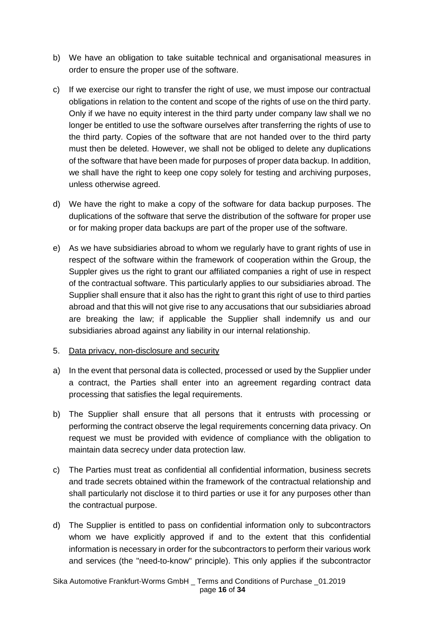- b) We have an obligation to take suitable technical and organisational measures in order to ensure the proper use of the software.
- c) If we exercise our right to transfer the right of use, we must impose our contractual obligations in relation to the content and scope of the rights of use on the third party. Only if we have no equity interest in the third party under company law shall we no longer be entitled to use the software ourselves after transferring the rights of use to the third party. Copies of the software that are not handed over to the third party must then be deleted. However, we shall not be obliged to delete any duplications of the software that have been made for purposes of proper data backup. In addition, we shall have the right to keep one copy solely for testing and archiving purposes, unless otherwise agreed.
- d) We have the right to make a copy of the software for data backup purposes. The duplications of the software that serve the distribution of the software for proper use or for making proper data backups are part of the proper use of the software.
- e) As we have subsidiaries abroad to whom we regularly have to grant rights of use in respect of the software within the framework of cooperation within the Group, the Suppler gives us the right to grant our affiliated companies a right of use in respect of the contractual software. This particularly applies to our subsidiaries abroad. The Supplier shall ensure that it also has the right to grant this right of use to third parties abroad and that this will not give rise to any accusations that our subsidiaries abroad are breaking the law; if applicable the Supplier shall indemnify us and our subsidiaries abroad against any liability in our internal relationship.
- 5. Data privacy, non-disclosure and security
- a) In the event that personal data is collected, processed or used by the Supplier under a contract, the Parties shall enter into an agreement regarding contract data processing that satisfies the legal requirements.
- b) The Supplier shall ensure that all persons that it entrusts with processing or performing the contract observe the legal requirements concerning data privacy. On request we must be provided with evidence of compliance with the obligation to maintain data secrecy under data protection law.
- c) The Parties must treat as confidential all confidential information, business secrets and trade secrets obtained within the framework of the contractual relationship and shall particularly not disclose it to third parties or use it for any purposes other than the contractual purpose.
- d) The Supplier is entitled to pass on confidential information only to subcontractors whom we have explicitly approved if and to the extent that this confidential information is necessary in order for the subcontractors to perform their various work and services (the "need-to-know" principle). This only applies if the subcontractor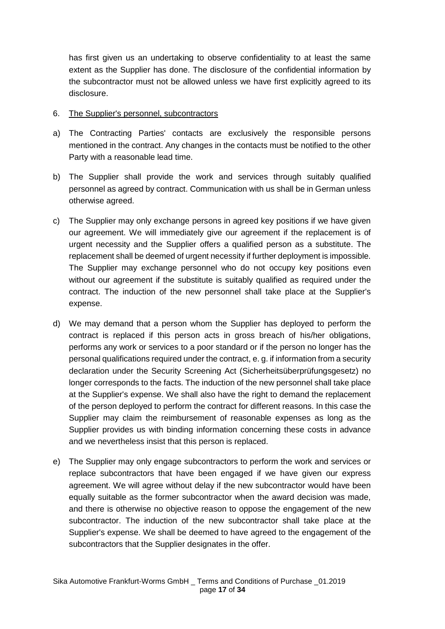has first given us an undertaking to observe confidentiality to at least the same extent as the Supplier has done. The disclosure of the confidential information by the subcontractor must not be allowed unless we have first explicitly agreed to its disclosure.

## 6. The Supplier's personnel, subcontractors

- a) The Contracting Parties' contacts are exclusively the responsible persons mentioned in the contract. Any changes in the contacts must be notified to the other Party with a reasonable lead time.
- b) The Supplier shall provide the work and services through suitably qualified personnel as agreed by contract. Communication with us shall be in German unless otherwise agreed.
- c) The Supplier may only exchange persons in agreed key positions if we have given our agreement. We will immediately give our agreement if the replacement is of urgent necessity and the Supplier offers a qualified person as a substitute. The replacement shall be deemed of urgent necessity if further deployment is impossible. The Supplier may exchange personnel who do not occupy key positions even without our agreement if the substitute is suitably qualified as required under the contract. The induction of the new personnel shall take place at the Supplier's expense.
- d) We may demand that a person whom the Supplier has deployed to perform the contract is replaced if this person acts in gross breach of his/her obligations, performs any work or services to a poor standard or if the person no longer has the personal qualifications required under the contract, e. g. if information from a security declaration under the Security Screening Act (Sicherheitsüberprüfungsgesetz) no longer corresponds to the facts. The induction of the new personnel shall take place at the Supplier's expense. We shall also have the right to demand the replacement of the person deployed to perform the contract for different reasons. In this case the Supplier may claim the reimbursement of reasonable expenses as long as the Supplier provides us with binding information concerning these costs in advance and we nevertheless insist that this person is replaced.
- e) The Supplier may only engage subcontractors to perform the work and services or replace subcontractors that have been engaged if we have given our express agreement. We will agree without delay if the new subcontractor would have been equally suitable as the former subcontractor when the award decision was made, and there is otherwise no objective reason to oppose the engagement of the new subcontractor. The induction of the new subcontractor shall take place at the Supplier's expense. We shall be deemed to have agreed to the engagement of the subcontractors that the Supplier designates in the offer.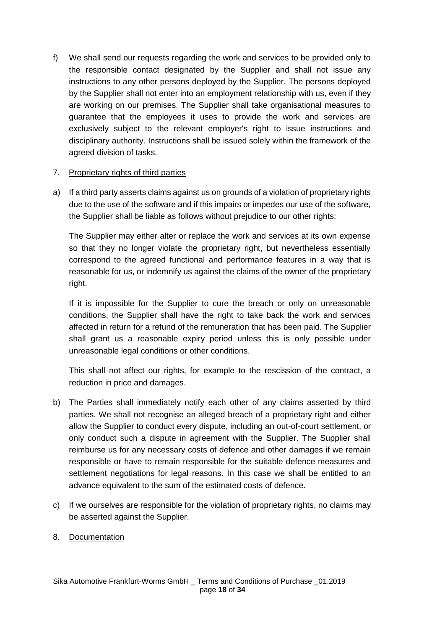f) We shall send our requests regarding the work and services to be provided only to the responsible contact designated by the Supplier and shall not issue any instructions to any other persons deployed by the Supplier. The persons deployed by the Supplier shall not enter into an employment relationship with us, even if they are working on our premises. The Supplier shall take organisational measures to guarantee that the employees it uses to provide the work and services are exclusively subject to the relevant employer's right to issue instructions and disciplinary authority. Instructions shall be issued solely within the framework of the agreed division of tasks.

## 7. Proprietary rights of third parties

a) If a third party asserts claims against us on grounds of a violation of proprietary rights due to the use of the software and if this impairs or impedes our use of the software, the Supplier shall be liable as follows without prejudice to our other rights:

The Supplier may either alter or replace the work and services at its own expense so that they no longer violate the proprietary right, but nevertheless essentially correspond to the agreed functional and performance features in a way that is reasonable for us, or indemnify us against the claims of the owner of the proprietary right.

If it is impossible for the Supplier to cure the breach or only on unreasonable conditions, the Supplier shall have the right to take back the work and services affected in return for a refund of the remuneration that has been paid. The Supplier shall grant us a reasonable expiry period unless this is only possible under unreasonable legal conditions or other conditions.

This shall not affect our rights, for example to the rescission of the contract, a reduction in price and damages.

- b) The Parties shall immediately notify each other of any claims asserted by third parties. We shall not recognise an alleged breach of a proprietary right and either allow the Supplier to conduct every dispute, including an out-of-court settlement, or only conduct such a dispute in agreement with the Supplier. The Supplier shall reimburse us for any necessary costs of defence and other damages if we remain responsible or have to remain responsible for the suitable defence measures and settlement negotiations for legal reasons. In this case we shall be entitled to an advance equivalent to the sum of the estimated costs of defence.
- c) If we ourselves are responsible for the violation of proprietary rights, no claims may be asserted against the Supplier.
- 8. Documentation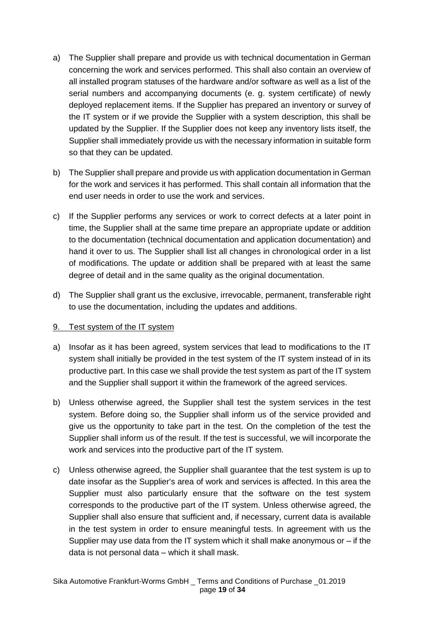- a) The Supplier shall prepare and provide us with technical documentation in German concerning the work and services performed. This shall also contain an overview of all installed program statuses of the hardware and/or software as well as a list of the serial numbers and accompanying documents (e. g. system certificate) of newly deployed replacement items. If the Supplier has prepared an inventory or survey of the IT system or if we provide the Supplier with a system description, this shall be updated by the Supplier. If the Supplier does not keep any inventory lists itself, the Supplier shall immediately provide us with the necessary information in suitable form so that they can be updated.
- b) The Supplier shall prepare and provide us with application documentation in German for the work and services it has performed. This shall contain all information that the end user needs in order to use the work and services.
- c) If the Supplier performs any services or work to correct defects at a later point in time, the Supplier shall at the same time prepare an appropriate update or addition to the documentation (technical documentation and application documentation) and hand it over to us. The Supplier shall list all changes in chronological order in a list of modifications. The update or addition shall be prepared with at least the same degree of detail and in the same quality as the original documentation.
- d) The Supplier shall grant us the exclusive, irrevocable, permanent, transferable right to use the documentation, including the updates and additions.

# 9. Test system of the IT system

- a) Insofar as it has been agreed, system services that lead to modifications to the IT system shall initially be provided in the test system of the IT system instead of in its productive part. In this case we shall provide the test system as part of the IT system and the Supplier shall support it within the framework of the agreed services.
- b) Unless otherwise agreed, the Supplier shall test the system services in the test system. Before doing so, the Supplier shall inform us of the service provided and give us the opportunity to take part in the test. On the completion of the test the Supplier shall inform us of the result. If the test is successful, we will incorporate the work and services into the productive part of the IT system.
- c) Unless otherwise agreed, the Supplier shall guarantee that the test system is up to date insofar as the Supplier's area of work and services is affected. In this area the Supplier must also particularly ensure that the software on the test system corresponds to the productive part of the IT system. Unless otherwise agreed, the Supplier shall also ensure that sufficient and, if necessary, current data is available in the test system in order to ensure meaningful tests. In agreement with us the Supplier may use data from the IT system which it shall make anonymous or  $-$  if the data is not personal data – which it shall mask.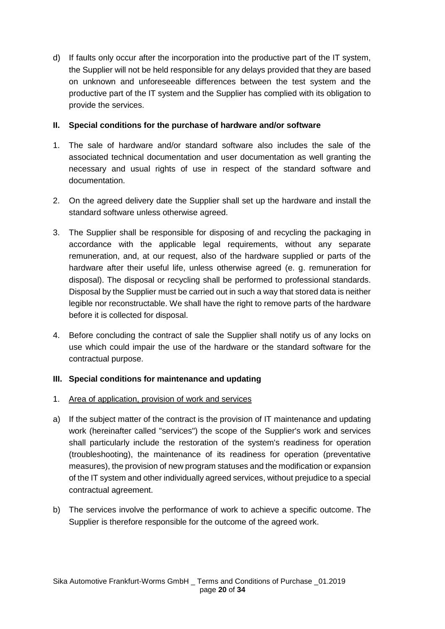d) If faults only occur after the incorporation into the productive part of the IT system, the Supplier will not be held responsible for any delays provided that they are based on unknown and unforeseeable differences between the test system and the productive part of the IT system and the Supplier has complied with its obligation to provide the services.

# **II. Special conditions for the purchase of hardware and/or software**

- 1. The sale of hardware and/or standard software also includes the sale of the associated technical documentation and user documentation as well granting the necessary and usual rights of use in respect of the standard software and documentation.
- 2. On the agreed delivery date the Supplier shall set up the hardware and install the standard software unless otherwise agreed.
- 3. The Supplier shall be responsible for disposing of and recycling the packaging in accordance with the applicable legal requirements, without any separate remuneration, and, at our request, also of the hardware supplied or parts of the hardware after their useful life, unless otherwise agreed (e. g. remuneration for disposal). The disposal or recycling shall be performed to professional standards. Disposal by the Supplier must be carried out in such a way that stored data is neither legible nor reconstructable. We shall have the right to remove parts of the hardware before it is collected for disposal.
- 4. Before concluding the contract of sale the Supplier shall notify us of any locks on use which could impair the use of the hardware or the standard software for the contractual purpose.

# **III. Special conditions for maintenance and updating**

# 1. Area of application, provision of work and services

- a) If the subject matter of the contract is the provision of IT maintenance and updating work (hereinafter called "services") the scope of the Supplier's work and services shall particularly include the restoration of the system's readiness for operation (troubleshooting), the maintenance of its readiness for operation (preventative measures), the provision of new program statuses and the modification or expansion of the IT system and other individually agreed services, without prejudice to a special contractual agreement.
- b) The services involve the performance of work to achieve a specific outcome. The Supplier is therefore responsible for the outcome of the agreed work.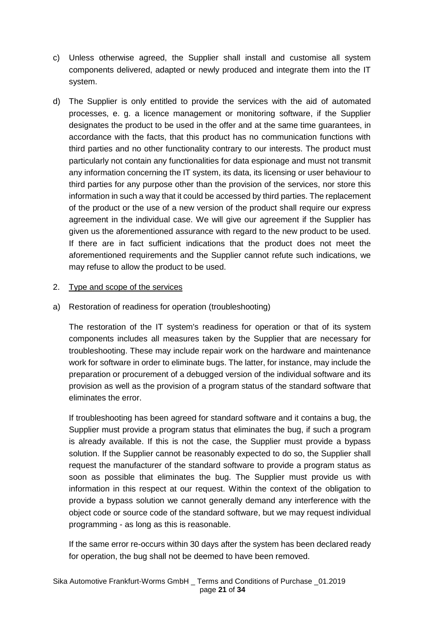- c) Unless otherwise agreed, the Supplier shall install and customise all system components delivered, adapted or newly produced and integrate them into the IT system.
- d) The Supplier is only entitled to provide the services with the aid of automated processes, e. g. a licence management or monitoring software, if the Supplier designates the product to be used in the offer and at the same time guarantees, in accordance with the facts, that this product has no communication functions with third parties and no other functionality contrary to our interests. The product must particularly not contain any functionalities for data espionage and must not transmit any information concerning the IT system, its data, its licensing or user behaviour to third parties for any purpose other than the provision of the services, nor store this information in such a way that it could be accessed by third parties. The replacement of the product or the use of a new version of the product shall require our express agreement in the individual case. We will give our agreement if the Supplier has given us the aforementioned assurance with regard to the new product to be used. If there are in fact sufficient indications that the product does not meet the aforementioned requirements and the Supplier cannot refute such indications, we may refuse to allow the product to be used.

## 2. Type and scope of the services

a) Restoration of readiness for operation (troubleshooting)

The restoration of the IT system's readiness for operation or that of its system components includes all measures taken by the Supplier that are necessary for troubleshooting. These may include repair work on the hardware and maintenance work for software in order to eliminate bugs. The latter, for instance, may include the preparation or procurement of a debugged version of the individual software and its provision as well as the provision of a program status of the standard software that eliminates the error.

If troubleshooting has been agreed for standard software and it contains a bug, the Supplier must provide a program status that eliminates the bug, if such a program is already available. If this is not the case, the Supplier must provide a bypass solution. If the Supplier cannot be reasonably expected to do so, the Supplier shall request the manufacturer of the standard software to provide a program status as soon as possible that eliminates the bug. The Supplier must provide us with information in this respect at our request. Within the context of the obligation to provide a bypass solution we cannot generally demand any interference with the object code or source code of the standard software, but we may request individual programming - as long as this is reasonable.

If the same error re-occurs within 30 days after the system has been declared ready for operation, the bug shall not be deemed to have been removed.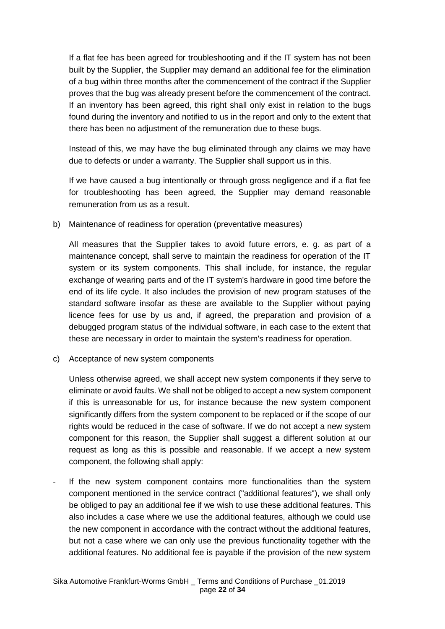If a flat fee has been agreed for troubleshooting and if the IT system has not been built by the Supplier, the Supplier may demand an additional fee for the elimination of a bug within three months after the commencement of the contract if the Supplier proves that the bug was already present before the commencement of the contract. If an inventory has been agreed, this right shall only exist in relation to the bugs found during the inventory and notified to us in the report and only to the extent that there has been no adjustment of the remuneration due to these bugs.

Instead of this, we may have the bug eliminated through any claims we may have due to defects or under a warranty. The Supplier shall support us in this.

If we have caused a bug intentionally or through gross negligence and if a flat fee for troubleshooting has been agreed, the Supplier may demand reasonable remuneration from us as a result.

b) Maintenance of readiness for operation (preventative measures)

All measures that the Supplier takes to avoid future errors, e. g. as part of a maintenance concept, shall serve to maintain the readiness for operation of the IT system or its system components. This shall include, for instance, the regular exchange of wearing parts and of the IT system's hardware in good time before the end of its life cycle. It also includes the provision of new program statuses of the standard software insofar as these are available to the Supplier without paying licence fees for use by us and, if agreed, the preparation and provision of a debugged program status of the individual software, in each case to the extent that these are necessary in order to maintain the system's readiness for operation.

c) Acceptance of new system components

Unless otherwise agreed, we shall accept new system components if they serve to eliminate or avoid faults. We shall not be obliged to accept a new system component if this is unreasonable for us, for instance because the new system component significantly differs from the system component to be replaced or if the scope of our rights would be reduced in the case of software. If we do not accept a new system component for this reason, the Supplier shall suggest a different solution at our request as long as this is possible and reasonable. If we accept a new system component, the following shall apply:

If the new system component contains more functionalities than the system component mentioned in the service contract ("additional features"), we shall only be obliged to pay an additional fee if we wish to use these additional features. This also includes a case where we use the additional features, although we could use the new component in accordance with the contract without the additional features, but not a case where we can only use the previous functionality together with the additional features. No additional fee is payable if the provision of the new system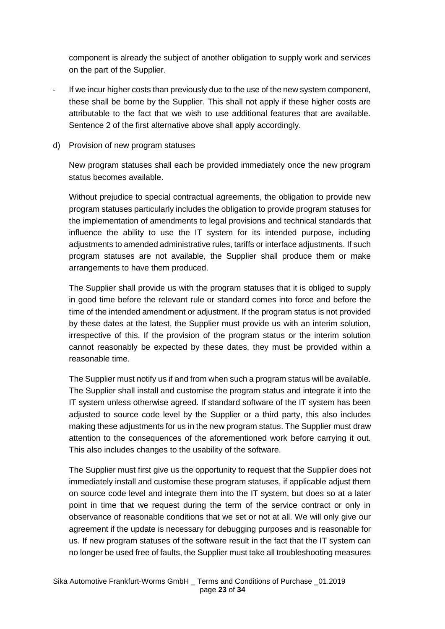component is already the subject of another obligation to supply work and services on the part of the Supplier.

- If we incur higher costs than previously due to the use of the new system component, these shall be borne by the Supplier. This shall not apply if these higher costs are attributable to the fact that we wish to use additional features that are available. Sentence 2 of the first alternative above shall apply accordingly.
- d) Provision of new program statuses

New program statuses shall each be provided immediately once the new program status becomes available.

Without prejudice to special contractual agreements, the obligation to provide new program statuses particularly includes the obligation to provide program statuses for the implementation of amendments to legal provisions and technical standards that influence the ability to use the IT system for its intended purpose, including adjustments to amended administrative rules, tariffs or interface adjustments. If such program statuses are not available, the Supplier shall produce them or make arrangements to have them produced.

The Supplier shall provide us with the program statuses that it is obliged to supply in good time before the relevant rule or standard comes into force and before the time of the intended amendment or adjustment. If the program status is not provided by these dates at the latest, the Supplier must provide us with an interim solution, irrespective of this. If the provision of the program status or the interim solution cannot reasonably be expected by these dates, they must be provided within a reasonable time.

The Supplier must notify us if and from when such a program status will be available. The Supplier shall install and customise the program status and integrate it into the IT system unless otherwise agreed. If standard software of the IT system has been adjusted to source code level by the Supplier or a third party, this also includes making these adjustments for us in the new program status. The Supplier must draw attention to the consequences of the aforementioned work before carrying it out. This also includes changes to the usability of the software.

The Supplier must first give us the opportunity to request that the Supplier does not immediately install and customise these program statuses, if applicable adjust them on source code level and integrate them into the IT system, but does so at a later point in time that we request during the term of the service contract or only in observance of reasonable conditions that we set or not at all. We will only give our agreement if the update is necessary for debugging purposes and is reasonable for us. If new program statuses of the software result in the fact that the IT system can no longer be used free of faults, the Supplier must take all troubleshooting measures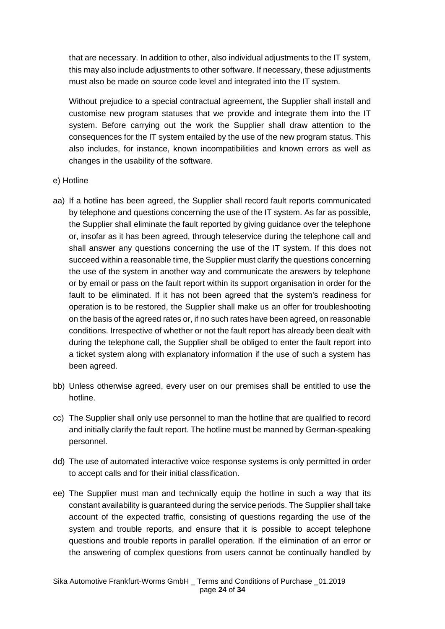that are necessary. In addition to other, also individual adjustments to the IT system, this may also include adjustments to other software. If necessary, these adjustments must also be made on source code level and integrated into the IT system.

Without prejudice to a special contractual agreement, the Supplier shall install and customise new program statuses that we provide and integrate them into the IT system. Before carrying out the work the Supplier shall draw attention to the consequences for the IT system entailed by the use of the new program status. This also includes, for instance, known incompatibilities and known errors as well as changes in the usability of the software.

- e) Hotline
- aa) If a hotline has been agreed, the Supplier shall record fault reports communicated by telephone and questions concerning the use of the IT system. As far as possible, the Supplier shall eliminate the fault reported by giving guidance over the telephone or, insofar as it has been agreed, through teleservice during the telephone call and shall answer any questions concerning the use of the IT system. If this does not succeed within a reasonable time, the Supplier must clarify the questions concerning the use of the system in another way and communicate the answers by telephone or by email or pass on the fault report within its support organisation in order for the fault to be eliminated. If it has not been agreed that the system's readiness for operation is to be restored, the Supplier shall make us an offer for troubleshooting on the basis of the agreed rates or, if no such rates have been agreed, on reasonable conditions. Irrespective of whether or not the fault report has already been dealt with during the telephone call, the Supplier shall be obliged to enter the fault report into a ticket system along with explanatory information if the use of such a system has been agreed.
- bb) Unless otherwise agreed, every user on our premises shall be entitled to use the hotline.
- cc) The Supplier shall only use personnel to man the hotline that are qualified to record and initially clarify the fault report. The hotline must be manned by German-speaking personnel.
- dd) The use of automated interactive voice response systems is only permitted in order to accept calls and for their initial classification.
- ee) The Supplier must man and technically equip the hotline in such a way that its constant availability is guaranteed during the service periods. The Supplier shall take account of the expected traffic, consisting of questions regarding the use of the system and trouble reports, and ensure that it is possible to accept telephone questions and trouble reports in parallel operation. If the elimination of an error or the answering of complex questions from users cannot be continually handled by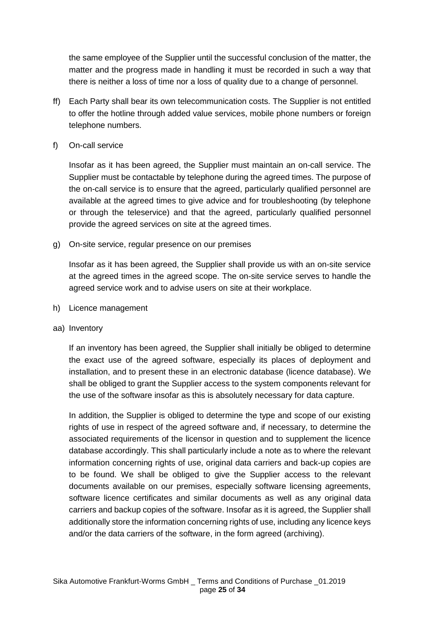the same employee of the Supplier until the successful conclusion of the matter, the matter and the progress made in handling it must be recorded in such a way that there is neither a loss of time nor a loss of quality due to a change of personnel.

- ff) Each Party shall bear its own telecommunication costs. The Supplier is not entitled to offer the hotline through added value services, mobile phone numbers or foreign telephone numbers.
- f) On-call service

Insofar as it has been agreed, the Supplier must maintain an on-call service. The Supplier must be contactable by telephone during the agreed times. The purpose of the on-call service is to ensure that the agreed, particularly qualified personnel are available at the agreed times to give advice and for troubleshooting (by telephone or through the teleservice) and that the agreed, particularly qualified personnel provide the agreed services on site at the agreed times.

g) On-site service, regular presence on our premises

Insofar as it has been agreed, the Supplier shall provide us with an on-site service at the agreed times in the agreed scope. The on-site service serves to handle the agreed service work and to advise users on site at their workplace.

- h) Licence management
- aa) Inventory

If an inventory has been agreed, the Supplier shall initially be obliged to determine the exact use of the agreed software, especially its places of deployment and installation, and to present these in an electronic database (licence database). We shall be obliged to grant the Supplier access to the system components relevant for the use of the software insofar as this is absolutely necessary for data capture.

In addition, the Supplier is obliged to determine the type and scope of our existing rights of use in respect of the agreed software and, if necessary, to determine the associated requirements of the licensor in question and to supplement the licence database accordingly. This shall particularly include a note as to where the relevant information concerning rights of use, original data carriers and back-up copies are to be found. We shall be obliged to give the Supplier access to the relevant documents available on our premises, especially software licensing agreements, software licence certificates and similar documents as well as any original data carriers and backup copies of the software. Insofar as it is agreed, the Supplier shall additionally store the information concerning rights of use, including any licence keys and/or the data carriers of the software, in the form agreed (archiving).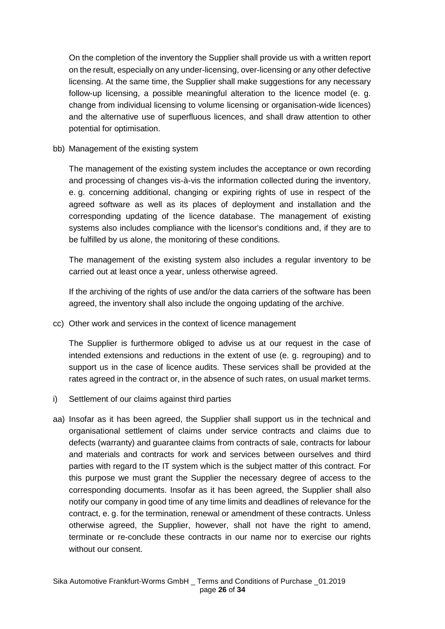On the completion of the inventory the Supplier shall provide us with a written report on the result, especially on any under-licensing, over-licensing or any other defective licensing. At the same time, the Supplier shall make suggestions for any necessary follow-up licensing, a possible meaningful alteration to the licence model (e. g. change from individual licensing to volume licensing or organisation-wide licences) and the alternative use of superfluous licences, and shall draw attention to other potential for optimisation.

bb) Management of the existing system

The management of the existing system includes the acceptance or own recording and processing of changes vis-à-vis the information collected during the inventory, e. g. concerning additional, changing or expiring rights of use in respect of the agreed software as well as its places of deployment and installation and the corresponding updating of the licence database. The management of existing systems also includes compliance with the licensor's conditions and, if they are to be fulfilled by us alone, the monitoring of these conditions.

The management of the existing system also includes a regular inventory to be carried out at least once a year, unless otherwise agreed.

If the archiving of the rights of use and/or the data carriers of the software has been agreed, the inventory shall also include the ongoing updating of the archive.

cc) Other work and services in the context of licence management

The Supplier is furthermore obliged to advise us at our request in the case of intended extensions and reductions in the extent of use (e. g. regrouping) and to support us in the case of licence audits. These services shall be provided at the rates agreed in the contract or, in the absence of such rates, on usual market terms.

- i) Settlement of our claims against third parties
- aa) Insofar as it has been agreed, the Supplier shall support us in the technical and organisational settlement of claims under service contracts and claims due to defects (warranty) and guarantee claims from contracts of sale, contracts for labour and materials and contracts for work and services between ourselves and third parties with regard to the IT system which is the subject matter of this contract. For this purpose we must grant the Supplier the necessary degree of access to the corresponding documents. Insofar as it has been agreed, the Supplier shall also notify our company in good time of any time limits and deadlines of relevance for the contract, e. g. for the termination, renewal or amendment of these contracts. Unless otherwise agreed, the Supplier, however, shall not have the right to amend, terminate or re-conclude these contracts in our name nor to exercise our rights without our consent.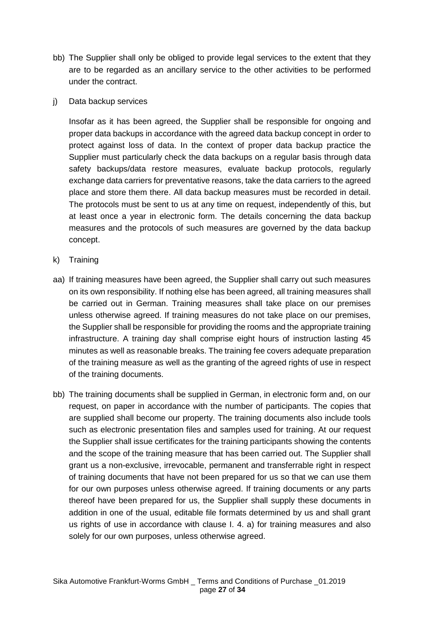- bb) The Supplier shall only be obliged to provide legal services to the extent that they are to be regarded as an ancillary service to the other activities to be performed under the contract.
- j) Data backup services

Insofar as it has been agreed, the Supplier shall be responsible for ongoing and proper data backups in accordance with the agreed data backup concept in order to protect against loss of data. In the context of proper data backup practice the Supplier must particularly check the data backups on a regular basis through data safety backups/data restore measures, evaluate backup protocols, regularly exchange data carriers for preventative reasons, take the data carriers to the agreed place and store them there. All data backup measures must be recorded in detail. The protocols must be sent to us at any time on request, independently of this, but at least once a year in electronic form. The details concerning the data backup measures and the protocols of such measures are governed by the data backup concept.

- k) Training
- aa) If training measures have been agreed, the Supplier shall carry out such measures on its own responsibility. If nothing else has been agreed, all training measures shall be carried out in German. Training measures shall take place on our premises unless otherwise agreed. If training measures do not take place on our premises, the Supplier shall be responsible for providing the rooms and the appropriate training infrastructure. A training day shall comprise eight hours of instruction lasting 45 minutes as well as reasonable breaks. The training fee covers adequate preparation of the training measure as well as the granting of the agreed rights of use in respect of the training documents.
- bb) The training documents shall be supplied in German, in electronic form and, on our request, on paper in accordance with the number of participants. The copies that are supplied shall become our property. The training documents also include tools such as electronic presentation files and samples used for training. At our request the Supplier shall issue certificates for the training participants showing the contents and the scope of the training measure that has been carried out. The Supplier shall grant us a non-exclusive, irrevocable, permanent and transferrable right in respect of training documents that have not been prepared for us so that we can use them for our own purposes unless otherwise agreed. If training documents or any parts thereof have been prepared for us, the Supplier shall supply these documents in addition in one of the usual, editable file formats determined by us and shall grant us rights of use in accordance with clause I. 4. a) for training measures and also solely for our own purposes, unless otherwise agreed.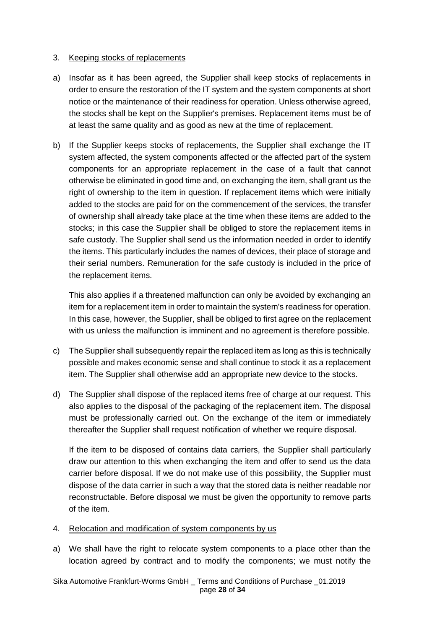## 3. Keeping stocks of replacements

- a) Insofar as it has been agreed, the Supplier shall keep stocks of replacements in order to ensure the restoration of the IT system and the system components at short notice or the maintenance of their readiness for operation. Unless otherwise agreed, the stocks shall be kept on the Supplier's premises. Replacement items must be of at least the same quality and as good as new at the time of replacement.
- b) If the Supplier keeps stocks of replacements, the Supplier shall exchange the IT system affected, the system components affected or the affected part of the system components for an appropriate replacement in the case of a fault that cannot otherwise be eliminated in good time and, on exchanging the item, shall grant us the right of ownership to the item in question. If replacement items which were initially added to the stocks are paid for on the commencement of the services, the transfer of ownership shall already take place at the time when these items are added to the stocks; in this case the Supplier shall be obliged to store the replacement items in safe custody. The Supplier shall send us the information needed in order to identify the items. This particularly includes the names of devices, their place of storage and their serial numbers. Remuneration for the safe custody is included in the price of the replacement items.

This also applies if a threatened malfunction can only be avoided by exchanging an item for a replacement item in order to maintain the system's readiness for operation. In this case, however, the Supplier, shall be obliged to first agree on the replacement with us unless the malfunction is imminent and no agreement is therefore possible.

- c) The Supplier shall subsequently repair the replaced item as long as this is technically possible and makes economic sense and shall continue to stock it as a replacement item. The Supplier shall otherwise add an appropriate new device to the stocks.
- d) The Supplier shall dispose of the replaced items free of charge at our request. This also applies to the disposal of the packaging of the replacement item. The disposal must be professionally carried out. On the exchange of the item or immediately thereafter the Supplier shall request notification of whether we require disposal.

If the item to be disposed of contains data carriers, the Supplier shall particularly draw our attention to this when exchanging the item and offer to send us the data carrier before disposal. If we do not make use of this possibility, the Supplier must dispose of the data carrier in such a way that the stored data is neither readable nor reconstructable. Before disposal we must be given the opportunity to remove parts of the item.

### 4. Relocation and modification of system components by us

a) We shall have the right to relocate system components to a place other than the location agreed by contract and to modify the components; we must notify the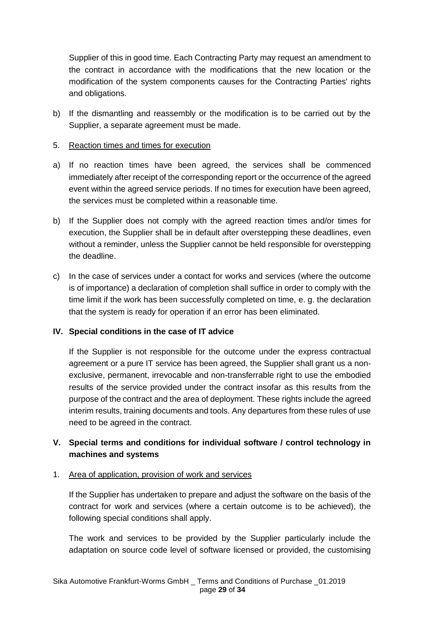Supplier of this in good time. Each Contracting Party may request an amendment to the contract in accordance with the modifications that the new location or the modification of the system components causes for the Contracting Parties' rights and obligations.

b) If the dismantling and reassembly or the modification is to be carried out by the Supplier, a separate agreement must be made.

## 5. Reaction times and times for execution

- a) If no reaction times have been agreed, the services shall be commenced immediately after receipt of the corresponding report or the occurrence of the agreed event within the agreed service periods. If no times for execution have been agreed, the services must be completed within a reasonable time.
- b) If the Supplier does not comply with the agreed reaction times and/or times for execution, the Supplier shall be in default after overstepping these deadlines, even without a reminder, unless the Supplier cannot be held responsible for overstepping the deadline.
- c) In the case of services under a contact for works and services (where the outcome is of importance) a declaration of completion shall suffice in order to comply with the time limit if the work has been successfully completed on time, e. g. the declaration that the system is ready for operation if an error has been eliminated.

# **IV. Special conditions in the case of IT advice**

If the Supplier is not responsible for the outcome under the express contractual agreement or a pure IT service has been agreed, the Supplier shall grant us a nonexclusive, permanent, irrevocable and non-transferrable right to use the embodied results of the service provided under the contract insofar as this results from the purpose of the contract and the area of deployment. These rights include the agreed interim results, training documents and tools. Any departures from these rules of use need to be agreed in the contract.

# **V. Special terms and conditions for individual software / control technology in machines and systems**

### 1. Area of application, provision of work and services

If the Supplier has undertaken to prepare and adjust the software on the basis of the contract for work and services (where a certain outcome is to be achieved), the following special conditions shall apply.

The work and services to be provided by the Supplier particularly include the adaptation on source code level of software licensed or provided, the customising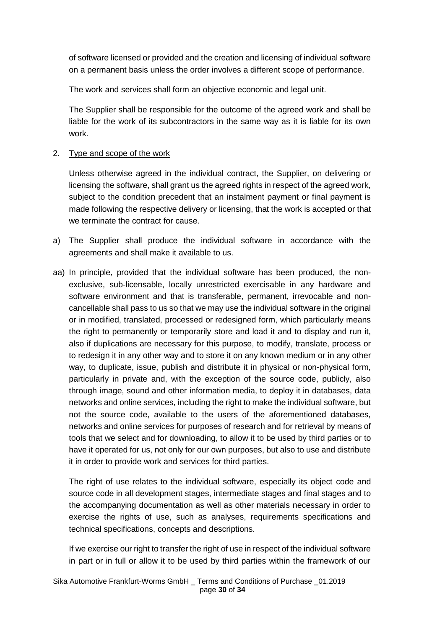of software licensed or provided and the creation and licensing of individual software on a permanent basis unless the order involves a different scope of performance.

The work and services shall form an objective economic and legal unit.

The Supplier shall be responsible for the outcome of the agreed work and shall be liable for the work of its subcontractors in the same way as it is liable for its own work.

# 2. Type and scope of the work

Unless otherwise agreed in the individual contract, the Supplier, on delivering or licensing the software, shall grant us the agreed rights in respect of the agreed work, subject to the condition precedent that an instalment payment or final payment is made following the respective delivery or licensing, that the work is accepted or that we terminate the contract for cause.

- a) The Supplier shall produce the individual software in accordance with the agreements and shall make it available to us.
- aa) In principle, provided that the individual software has been produced, the nonexclusive, sub-licensable, locally unrestricted exercisable in any hardware and software environment and that is transferable, permanent, irrevocable and noncancellable shall pass to us so that we may use the individual software in the original or in modified, translated, processed or redesigned form, which particularly means the right to permanently or temporarily store and load it and to display and run it, also if duplications are necessary for this purpose, to modify, translate, process or to redesign it in any other way and to store it on any known medium or in any other way, to duplicate, issue, publish and distribute it in physical or non-physical form, particularly in private and, with the exception of the source code, publicly, also through image, sound and other information media, to deploy it in databases, data networks and online services, including the right to make the individual software, but not the source code, available to the users of the aforementioned databases, networks and online services for purposes of research and for retrieval by means of tools that we select and for downloading, to allow it to be used by third parties or to have it operated for us, not only for our own purposes, but also to use and distribute it in order to provide work and services for third parties.

The right of use relates to the individual software, especially its object code and source code in all development stages, intermediate stages and final stages and to the accompanying documentation as well as other materials necessary in order to exercise the rights of use, such as analyses, requirements specifications and technical specifications, concepts and descriptions.

If we exercise our right to transfer the right of use in respect of the individual software in part or in full or allow it to be used by third parties within the framework of our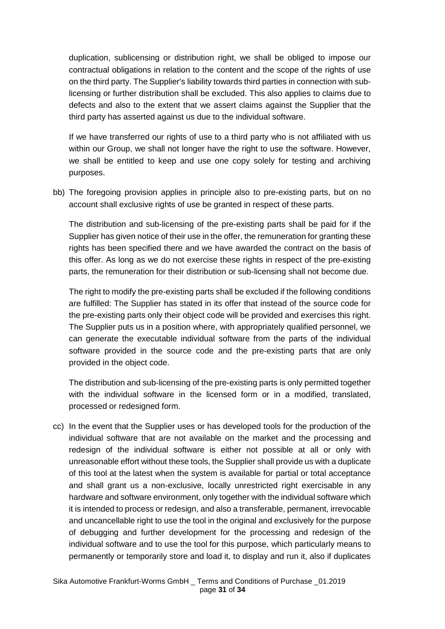duplication, sublicensing or distribution right, we shall be obliged to impose our contractual obligations in relation to the content and the scope of the rights of use on the third party. The Supplier's liability towards third parties in connection with sublicensing or further distribution shall be excluded. This also applies to claims due to defects and also to the extent that we assert claims against the Supplier that the third party has asserted against us due to the individual software.

If we have transferred our rights of use to a third party who is not affiliated with us within our Group, we shall not longer have the right to use the software. However, we shall be entitled to keep and use one copy solely for testing and archiving purposes.

bb) The foregoing provision applies in principle also to pre-existing parts, but on no account shall exclusive rights of use be granted in respect of these parts.

The distribution and sub-licensing of the pre-existing parts shall be paid for if the Supplier has given notice of their use in the offer, the remuneration for granting these rights has been specified there and we have awarded the contract on the basis of this offer. As long as we do not exercise these rights in respect of the pre-existing parts, the remuneration for their distribution or sub-licensing shall not become due.

The right to modify the pre-existing parts shall be excluded if the following conditions are fulfilled: The Supplier has stated in its offer that instead of the source code for the pre-existing parts only their object code will be provided and exercises this right. The Supplier puts us in a position where, with appropriately qualified personnel, we can generate the executable individual software from the parts of the individual software provided in the source code and the pre-existing parts that are only provided in the object code.

The distribution and sub-licensing of the pre-existing parts is only permitted together with the individual software in the licensed form or in a modified, translated, processed or redesigned form.

cc) In the event that the Supplier uses or has developed tools for the production of the individual software that are not available on the market and the processing and redesign of the individual software is either not possible at all or only with unreasonable effort without these tools, the Supplier shall provide us with a duplicate of this tool at the latest when the system is available for partial or total acceptance and shall grant us a non-exclusive, locally unrestricted right exercisable in any hardware and software environment, only together with the individual software which it is intended to process or redesign, and also a transferable, permanent, irrevocable and uncancellable right to use the tool in the original and exclusively for the purpose of debugging and further development for the processing and redesign of the individual software and to use the tool for this purpose, which particularly means to permanently or temporarily store and load it, to display and run it, also if duplicates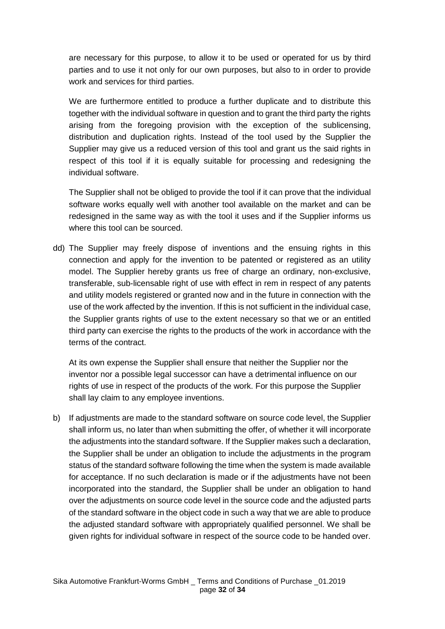are necessary for this purpose, to allow it to be used or operated for us by third parties and to use it not only for our own purposes, but also to in order to provide work and services for third parties.

We are furthermore entitled to produce a further duplicate and to distribute this together with the individual software in question and to grant the third party the rights arising from the foregoing provision with the exception of the sublicensing, distribution and duplication rights. Instead of the tool used by the Supplier the Supplier may give us a reduced version of this tool and grant us the said rights in respect of this tool if it is equally suitable for processing and redesigning the individual software.

The Supplier shall not be obliged to provide the tool if it can prove that the individual software works equally well with another tool available on the market and can be redesigned in the same way as with the tool it uses and if the Supplier informs us where this tool can be sourced.

dd) The Supplier may freely dispose of inventions and the ensuing rights in this connection and apply for the invention to be patented or registered as an utility model. The Supplier hereby grants us free of charge an ordinary, non-exclusive, transferable, sub-licensable right of use with effect in rem in respect of any patents and utility models registered or granted now and in the future in connection with the use of the work affected by the invention. If this is not sufficient in the individual case, the Supplier grants rights of use to the extent necessary so that we or an entitled third party can exercise the rights to the products of the work in accordance with the terms of the contract.

At its own expense the Supplier shall ensure that neither the Supplier nor the inventor nor a possible legal successor can have a detrimental influence on our rights of use in respect of the products of the work. For this purpose the Supplier shall lay claim to any employee inventions.

b) If adjustments are made to the standard software on source code level, the Supplier shall inform us, no later than when submitting the offer, of whether it will incorporate the adjustments into the standard software. If the Supplier makes such a declaration, the Supplier shall be under an obligation to include the adjustments in the program status of the standard software following the time when the system is made available for acceptance. If no such declaration is made or if the adjustments have not been incorporated into the standard, the Supplier shall be under an obligation to hand over the adjustments on source code level in the source code and the adjusted parts of the standard software in the object code in such a way that we are able to produce the adjusted standard software with appropriately qualified personnel. We shall be given rights for individual software in respect of the source code to be handed over.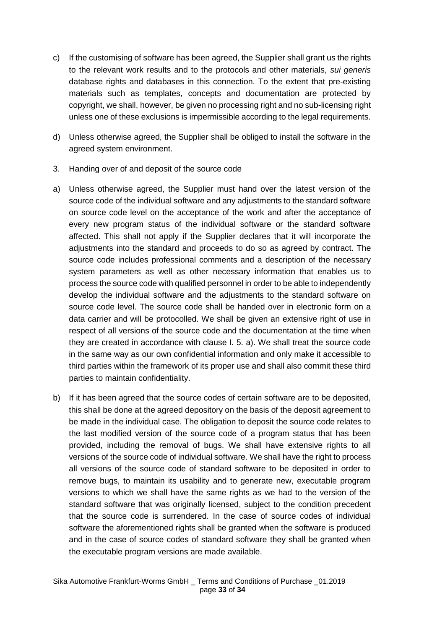- c) If the customising of software has been agreed, the Supplier shall grant us the rights to the relevant work results and to the protocols and other materials, *sui generis* database rights and databases in this connection. To the extent that pre-existing materials such as templates, concepts and documentation are protected by copyright, we shall, however, be given no processing right and no sub-licensing right unless one of these exclusions is impermissible according to the legal requirements.
- d) Unless otherwise agreed, the Supplier shall be obliged to install the software in the agreed system environment.
- 3. Handing over of and deposit of the source code
- a) Unless otherwise agreed, the Supplier must hand over the latest version of the source code of the individual software and any adjustments to the standard software on source code level on the acceptance of the work and after the acceptance of every new program status of the individual software or the standard software affected. This shall not apply if the Supplier declares that it will incorporate the adjustments into the standard and proceeds to do so as agreed by contract. The source code includes professional comments and a description of the necessary system parameters as well as other necessary information that enables us to process the source code with qualified personnel in order to be able to independently develop the individual software and the adjustments to the standard software on source code level. The source code shall be handed over in electronic form on a data carrier and will be protocolled. We shall be given an extensive right of use in respect of all versions of the source code and the documentation at the time when they are created in accordance with clause I. 5. a). We shall treat the source code in the same way as our own confidential information and only make it accessible to third parties within the framework of its proper use and shall also commit these third parties to maintain confidentiality.
- b) If it has been agreed that the source codes of certain software are to be deposited, this shall be done at the agreed depository on the basis of the deposit agreement to be made in the individual case. The obligation to deposit the source code relates to the last modified version of the source code of a program status that has been provided, including the removal of bugs. We shall have extensive rights to all versions of the source code of individual software. We shall have the right to process all versions of the source code of standard software to be deposited in order to remove bugs, to maintain its usability and to generate new, executable program versions to which we shall have the same rights as we had to the version of the standard software that was originally licensed, subject to the condition precedent that the source code is surrendered. In the case of source codes of individual software the aforementioned rights shall be granted when the software is produced and in the case of source codes of standard software they shall be granted when the executable program versions are made available.